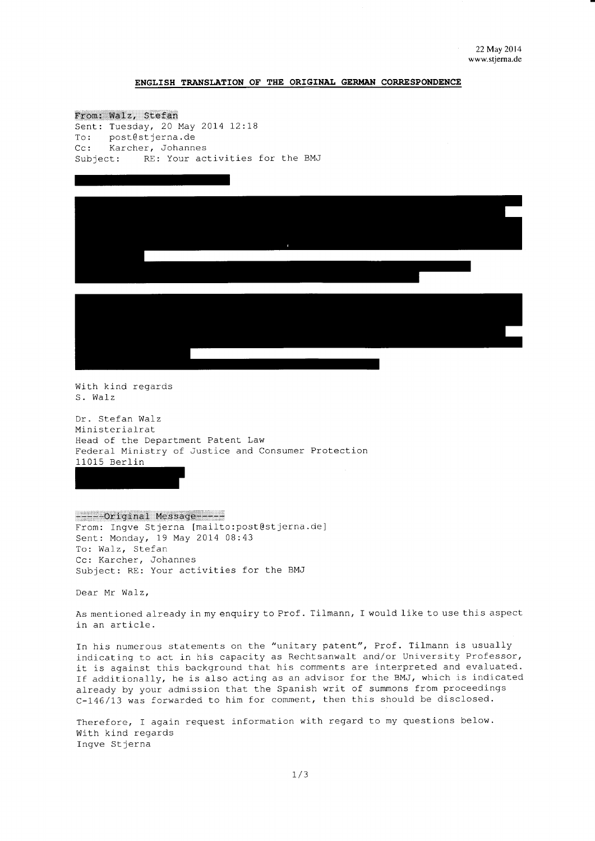## ENGLISH TRANSLATION OF THE ORIGINAL GERMAN CORRESPONDENCE

From: Walz, Stefan Sent: Tuesday, 20 May 2014 12:18 To: post@stjerna.de Cc: Karcher, Johannes Subject: RE: Your activities for the BMJ



With kind regards S. Walz

Dr. Stefan Walz Ministerialrat Head of the Department Patent Law Federal Ministry of Justice and Consumer Protection 11015 Berlin

------Original Message-----From: Ingve Stjerna [mailto:post@stjerna.de] Sent: Monday, 19 May 2014 08:43 To: Walz, Stefan Cc: Karcher, Johannes Subject: RE: Your activities for the BMJ

Dear Mr Walz,

As mentioned already in my enquiry to Prof. Tilmann, I would like to use this aspect in an article.

In his numerous statements on the "unitary patent", Prof. Tilmann is usually indicating to act in his capacity as Rechtsanwalt and/or University Professor, it is against this background that his comments are interpreted and evaluated. If additionally, he is also acting as an advisor for the BMJ, which is indicated already by your admission that the Spanish writ of summons from proceedings C-146/13 was forwarded to him for comment, then this should be disclosed.

Therefore, I again request information with regard to my questions below. With kind regards Inqve Stjerna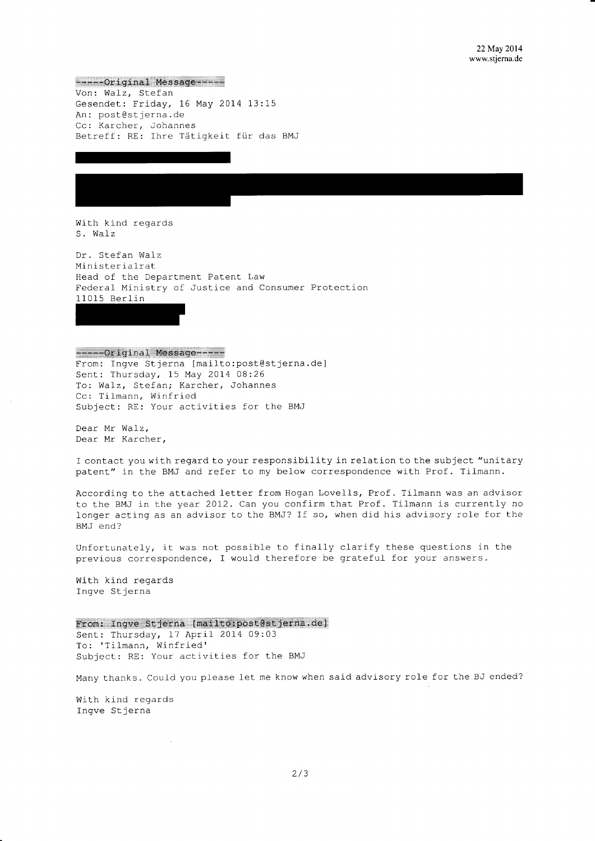-----Original Message-----Von: Walz, Stefan Gesendet: Friday, 16 May 2014 13:15 An: post@stjerna.de Cc: Karcher, Johannes Betreff: RE: Ihre Tätigkeit für das BMJ

With kind regards S. Walz

Dr. Stefan Walz Ministerialrat Head of the Department Patent Law Federal Ministry of Justice and Consumer Protection 11015 Berlin

------Original Message-----From: Ingve Stjerna [mailto:post@stjerna.de] Sent: Thursday, 15 May 2014 08:26 To: Walz, Stefan; Karcher, Johannes Cc: Tilmann, Winfried Subject: RE: Your activities for the BMJ

Dear Mr Walz, Dear Mr Karcher,

I contact you with regard to your responsibility in relation to the subject "unitary patent" in the BMJ and refer to my below correspondence with Prof. Tilmann.

According to the attached letter from Hogan Lovells, Prof. Tilmann was an advisor to the BMJ in the year 2012. Can you confirm that Prof. Tilmann is currently no longer acting as an advisor to the BMJ? If so, when did his advisory role for the BMJ end?

Unfortunately, it was not possible to finally clarify these questions in the previous correspondence, I would therefore be grateful for your answers.

With kind regards Ingve Stjerna

From: Ingve Stjerna [mailto:post@stjerna.de] Sent: Thursday, 17 April 2014 09:03 To: 'Tilmann, Winfried' Subject: RE: Your activities for the BMJ

Many thanks. Could you please let me know when said advisory role for the BJ ended?

With kind regards Ingve Stjerna